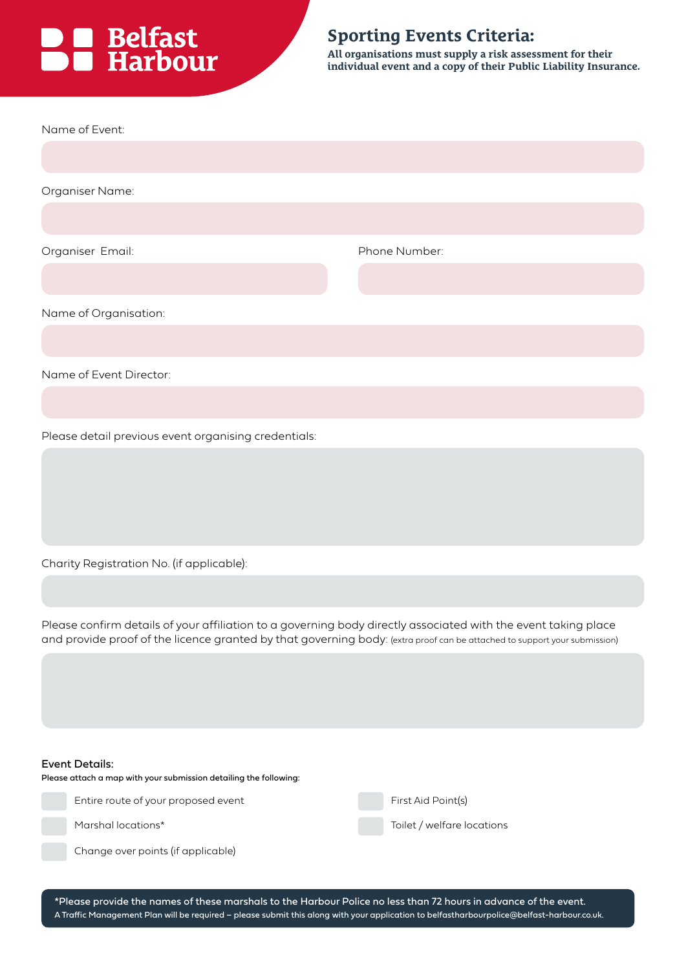# **DE Belfast**<br> **DE Harbour**

### **Sporting Events Criteria:**

**All organisations must supply a risk assessment for their individual event and a copy of their Public Liability Insurance.**

| Name of Event:                                                                                                                                                                                                                              |                            |  |
|---------------------------------------------------------------------------------------------------------------------------------------------------------------------------------------------------------------------------------------------|----------------------------|--|
|                                                                                                                                                                                                                                             |                            |  |
| Organiser Name:                                                                                                                                                                                                                             |                            |  |
|                                                                                                                                                                                                                                             |                            |  |
| Organiser Email:                                                                                                                                                                                                                            | Phone Number:              |  |
|                                                                                                                                                                                                                                             |                            |  |
| Name of Organisation:                                                                                                                                                                                                                       |                            |  |
|                                                                                                                                                                                                                                             |                            |  |
| Name of Event Director:                                                                                                                                                                                                                     |                            |  |
|                                                                                                                                                                                                                                             |                            |  |
| Please detail previous event organising credentials:                                                                                                                                                                                        |                            |  |
|                                                                                                                                                                                                                                             |                            |  |
|                                                                                                                                                                                                                                             |                            |  |
|                                                                                                                                                                                                                                             |                            |  |
| Charity Registration No. (if applicable):                                                                                                                                                                                                   |                            |  |
|                                                                                                                                                                                                                                             |                            |  |
| Please confirm details of your affiliation to a governing body directly associated with the event taking place<br>and provide proof of the licence granted by that governing body: (extra proof can be attached to support your submission) |                            |  |
|                                                                                                                                                                                                                                             |                            |  |
|                                                                                                                                                                                                                                             |                            |  |
|                                                                                                                                                                                                                                             |                            |  |
| <b>Event Details:</b><br>Please attach a map with your submission detailing the following:                                                                                                                                                  |                            |  |
| Entire route of your proposed event                                                                                                                                                                                                         | First Aid Point(s)         |  |
| Marshal locations*                                                                                                                                                                                                                          | Toilet / welfare locations |  |
| Change over points (if applicable)                                                                                                                                                                                                          |                            |  |

\*Please provide the names of these marshals to the Harbour Police no less than 72 hours in advance of the event. A Traffic Management Plan will be required – please submit this along with your application to belfastharbourpolice@belfast-harbour.co.uk.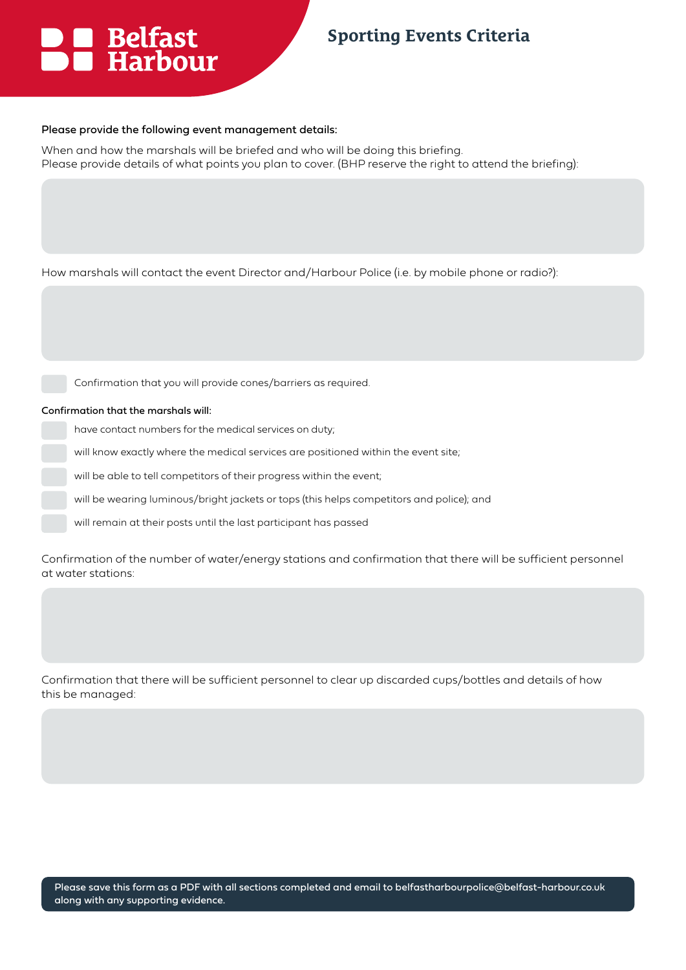# **DE** Belfast<br>**DE** Harbour

## **Sporting Events Criteria**

### Please provide the following event management details:

When and how the marshals will be briefed and who will be doing this briefing. Please provide details of what points you plan to cover. (BHP reserve the right to attend the briefing):

| How marshals will contact the event Director and/Harbour Police (i.e. by mobile phone or radio?): |  |
|---------------------------------------------------------------------------------------------------|--|
|                                                                                                   |  |

Confirmation that you will provide cones/barriers as required.

### Confirmation that the marshals will:

- have contact numbers for the medical services on duty;
- will know exactly where the medical services are positioned within the event site;
- will be able to tell competitors of their progress within the event;
- will be wearing luminous/bright jackets or tops (this helps competitors and police); and
- will remain at their posts until the last participant has passed

Confirmation of the number of water/energy stations and confirmation that there will be sufficient personnel at water stations:

Confirmation that there will be sufficient personnel to clear up discarded cups/bottles and details of how this be managed: